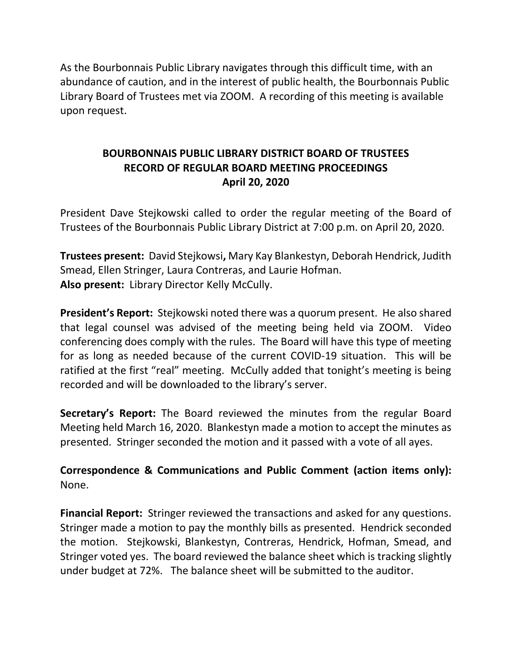As the Bourbonnais Public Library navigates through this difficult time, with an abundance of caution, and in the interest of public health, the Bourbonnais Public Library Board of Trustees met via ZOOM. A recording of this meeting is available upon request.

# **BOURBONNAIS PUBLIC LIBRARY DISTRICT BOARD OF TRUSTEES RECORD OF REGULAR BOARD MEETING PROCEEDINGS April 20, 2020**

President Dave Stejkowski called to order the regular meeting of the Board of Trustees of the Bourbonnais Public Library District at 7:00 p.m. on April 20, 2020.

**Trustees present:** David Stejkowsi**,** Mary Kay Blankestyn, Deborah Hendrick, Judith Smead, Ellen Stringer, Laura Contreras, and Laurie Hofman. **Also present:** Library Director Kelly McCully.

**President's Report:** Stejkowski noted there was a quorum present. He also shared that legal counsel was advised of the meeting being held via ZOOM. Video conferencing does comply with the rules. The Board will have this type of meeting for as long as needed because of the current COVID-19 situation. This will be ratified at the first "real" meeting. McCully added that tonight's meeting is being recorded and will be downloaded to the library's server.

**Secretary's Report:** The Board reviewed the minutes from the regular Board Meeting held March 16, 2020. Blankestyn made a motion to accept the minutes as presented. Stringer seconded the motion and it passed with a vote of all ayes.

**Correspondence & Communications and Public Comment (action items only):**  None.

**Financial Report:** Stringer reviewed the transactions and asked for any questions. Stringer made a motion to pay the monthly bills as presented. Hendrick seconded the motion. Stejkowski, Blankestyn, Contreras, Hendrick, Hofman, Smead, and Stringer voted yes. The board reviewed the balance sheet which is tracking slightly under budget at 72%. The balance sheet will be submitted to the auditor.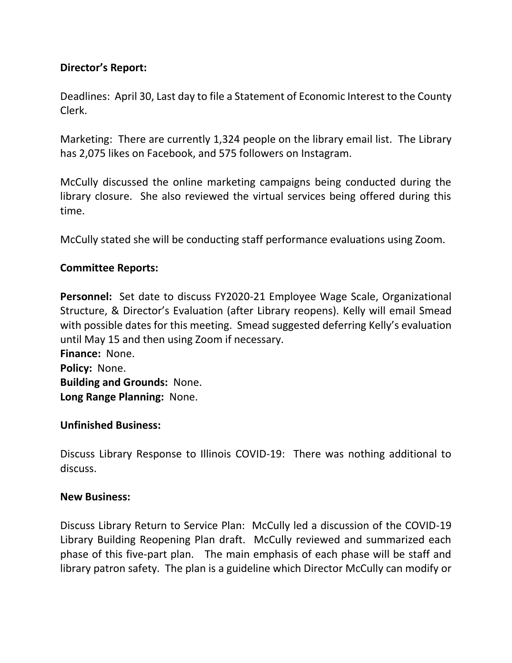# **Director's Report:**

Deadlines: April 30, Last day to file a Statement of Economic Interest to the County Clerk.

Marketing: There are currently 1,324 people on the library email list. The Library has 2,075 likes on Facebook, and 575 followers on Instagram.

McCully discussed the online marketing campaigns being conducted during the library closure. She also reviewed the virtual services being offered during this time.

McCully stated she will be conducting staff performance evaluations using Zoom.

## **Committee Reports:**

**Personnel:** Set date to discuss FY2020-21 Employee Wage Scale, Organizational Structure, & Director's Evaluation (after Library reopens). Kelly will email Smead with possible dates for this meeting. Smead suggested deferring Kelly's evaluation until May 15 and then using Zoom if necessary. **Finance:** None.

**Policy:** None. **Building and Grounds:** None. **Long Range Planning:** None.

#### **Unfinished Business:**

Discuss Library Response to Illinois COVID-19: There was nothing additional to discuss.

#### **New Business:**

Discuss Library Return to Service Plan: McCully led a discussion of the COVID-19 Library Building Reopening Plan draft. McCully reviewed and summarized each phase of this five-part plan. The main emphasis of each phase will be staff and library patron safety. The plan is a guideline which Director McCully can modify or